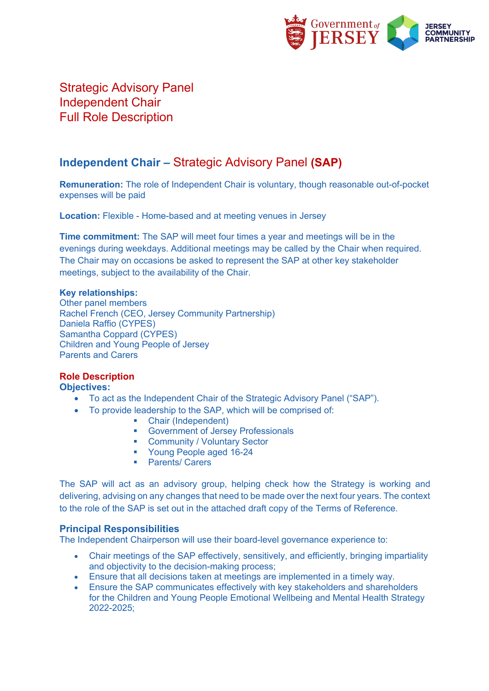

Strategic Advisory Panel Independent Chair Full Role Description

# **Independent Chair –** Strategic Advisory Panel **(SAP)**

**Remuneration:** The role of Independent Chair is voluntary, though reasonable out-of-pocket expenses will be paid

**Location:** Flexible - Home-based and at meeting venues in Jersey

**Time commitment:** The SAP will meet four times a year and meetings will be in the evenings during weekdays. Additional meetings may be called by the Chair when required. The Chair may on occasions be asked to represent the SAP at other key stakeholder meetings, subject to the availability of the Chair.

## **Key relationships:**

Other panel members Rachel French (CEO, Jersey Community Partnership) Daniela Raffio (CYPES) Samantha Coppard (CYPES) Children and Young People of Jersey Parents and Carers

# **Role Description**

**Objectives:** 

- To act as the Independent Chair of the Strategic Advisory Panel ("SAP").
- To provide leadership to the SAP, which will be comprised of:
	- Chair (Independent)
	- Government of Jersey Professionals
	- Community / Voluntary Sector
	- § Young People aged 16-24
	- Parents/ Carers

The SAP will act as an advisory group, helping check how the Strategy is working and delivering, advising on any changes that need to be made over the next four years. The context to the role of the SAP is set out in the attached draft copy of the Terms of Reference.

# **Principal Responsibilities**

The Independent Chairperson will use their board-level governance experience to:

- Chair meetings of the SAP effectively, sensitively, and efficiently, bringing impartiality and objectivity to the decision-making process;
- Ensure that all decisions taken at meetings are implemented in a timely way.
- Ensure the SAP communicates effectively with key stakeholders and shareholders for the Children and Young People Emotional Wellbeing and Mental Health Strategy 2022-2025;